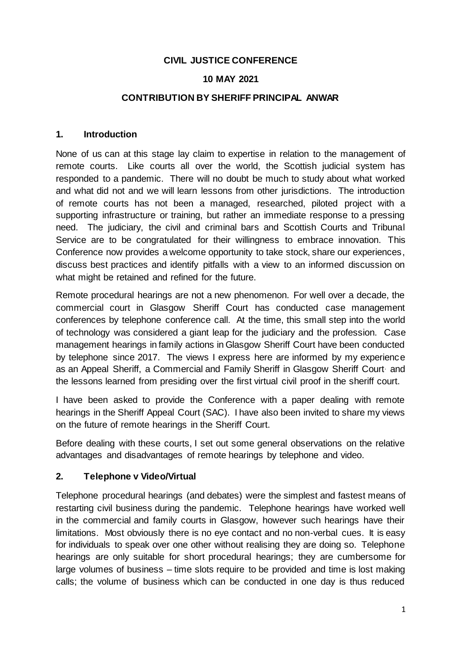## **CIVIL JUSTICE CONFERENCE**

### **10 MAY 2021**

### **CONTRIBUTION BY SHERIFF PRINCIPAL ANWAR**

### **1. Introduction**

None of us can at this stage lay claim to expertise in relation to the management of remote courts. Like courts all over the world, the Scottish judicial system has responded to a pandemic. There will no doubt be much to study about what worked and what did not and we will learn lessons from other jurisdictions. The introduction of remote courts has not been a managed, researched, piloted project with a supporting infrastructure or training, but rather an immediate response to a pressing need. The judiciary, the civil and criminal bars and Scottish Courts and Tribunal Service are to be congratulated for their willingness to embrace innovation. This Conference now provides a welcome opportunity to take stock, share our experiences, discuss best practices and identify pitfalls with a view to an informed discussion on what might be retained and refined for the future.

Remote procedural hearings are not a new phenomenon. For well over a decade, the commercial court in Glasgow Sheriff Court has conducted case management conferences by telephone conference call. At the time, this small step into the world of technology was considered a giant leap for the judiciary and the profession. Case management hearings in family actions in Glasgow Sheriff Court have been conducted by telephone since 2017. The views I express here are informed by my experience as an Appeal Sheriff, a Commercial and Family Sheriff in Glasgow Sheriff Court. and the lessons learned from presiding over the first virtual civil proof in the sheriff court.

I have been asked to provide the Conference with a paper dealing with remote hearings in the Sheriff Appeal Court (SAC). I have also been invited to share my views on the future of remote hearings in the Sheriff Court.

Before dealing with these courts, I set out some general observations on the relative advantages and disadvantages of remote hearings by telephone and video.

### **2. Telephone v Video/Virtual**

Telephone procedural hearings (and debates) were the simplest and fastest means of restarting civil business during the pandemic. Telephone hearings have worked well in the commercial and family courts in Glasgow, however such hearings have their limitations. Most obviously there is no eye contact and no non-verbal cues. It is easy for individuals to speak over one other without realising they are doing so. Telephone hearings are only suitable for short procedural hearings; they are cumbersome for large volumes of business – time slots require to be provided and time is lost making calls; the volume of business which can be conducted in one day is thus reduced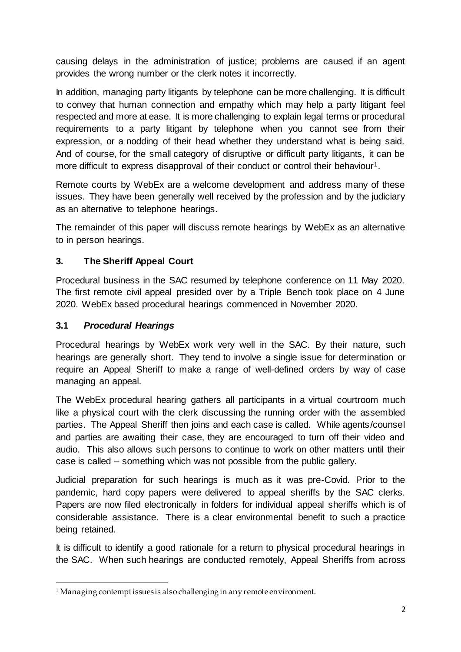causing delays in the administration of justice; problems are caused if an agent provides the wrong number or the clerk notes it incorrectly.

In addition, managing party litigants by telephone can be more challenging. It is difficult to convey that human connection and empathy which may help a party litigant feel respected and more at ease. It is more challenging to explain legal terms or procedural requirements to a party litigant by telephone when you cannot see from their expression, or a nodding of their head whether they understand what is being said. And of course, for the small category of disruptive or difficult party litigants, it can be more difficult to express disapproval of their conduct or control their behaviour<sup>1</sup>.

Remote courts by WebEx are a welcome development and address many of these issues. They have been generally well received by the profession and by the judiciary as an alternative to telephone hearings.

The remainder of this paper will discuss remote hearings by WebEx as an alternative to in person hearings.

# **3. The Sheriff Appeal Court**

Procedural business in the SAC resumed by telephone conference on 11 May 2020. The first remote civil appeal presided over by a Triple Bench took place on 4 June 2020. WebEx based procedural hearings commenced in November 2020.

## **3.1** *Procedural Hearings*

 $\overline{a}$ 

Procedural hearings by WebEx work very well in the SAC. By their nature, such hearings are generally short. They tend to involve a single issue for determination or require an Appeal Sheriff to make a range of well-defined orders by way of case managing an appeal.

The WebEx procedural hearing gathers all participants in a virtual courtroom much like a physical court with the clerk discussing the running order with the assembled parties. The Appeal Sheriff then joins and each case is called. While agents/counsel and parties are awaiting their case, they are encouraged to turn off their video and audio. This also allows such persons to continue to work on other matters until their case is called – something which was not possible from the public gallery.

Judicial preparation for such hearings is much as it was pre-Covid. Prior to the pandemic, hard copy papers were delivered to appeal sheriffs by the SAC clerks. Papers are now filed electronically in folders for individual appeal sheriffs which is of considerable assistance. There is a clear environmental benefit to such a practice being retained.

It is difficult to identify a good rationale for a return to physical procedural hearings in the SAC. When such hearings are conducted remotely, Appeal Sheriffs from across

<sup>1</sup> Managing contempt issues is also challenging in any remote environment.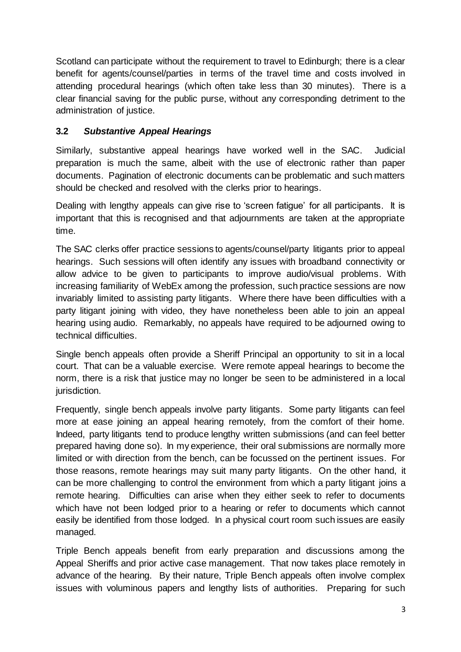Scotland can participate without the requirement to travel to Edinburgh; there is a clear benefit for agents/counsel/parties in terms of the travel time and costs involved in attending procedural hearings (which often take less than 30 minutes). There is a clear financial saving for the public purse, without any corresponding detriment to the administration of justice.

# **3.2** *Substantive Appeal Hearings*

Similarly, substantive appeal hearings have worked well in the SAC. Judicial preparation is much the same, albeit with the use of electronic rather than paper documents. Pagination of electronic documents can be problematic and such matters should be checked and resolved with the clerks prior to hearings.

Dealing with lengthy appeals can give rise to 'screen fatigue' for all participants. It is important that this is recognised and that adjournments are taken at the appropriate time.

The SAC clerks offer practice sessions to agents/counsel/party litigants prior to appeal hearings. Such sessions will often identify any issues with broadband connectivity or allow advice to be given to participants to improve audio/visual problems. With increasing familiarity of WebEx among the profession, such practice sessions are now invariably limited to assisting party litigants. Where there have been difficulties with a party litigant joining with video, they have nonetheless been able to join an appeal hearing using audio. Remarkably, no appeals have required to be adjourned owing to technical difficulties.

Single bench appeals often provide a Sheriff Principal an opportunity to sit in a local court. That can be a valuable exercise. Were remote appeal hearings to become the norm, there is a risk that justice may no longer be seen to be administered in a local jurisdiction.

Frequently, single bench appeals involve party litigants. Some party litigants can feel more at ease joining an appeal hearing remotely, from the comfort of their home. Indeed, party litigants tend to produce lengthy written submissions (and can feel better prepared having done so). In my experience, their oral submissions are normally more limited or with direction from the bench, can be focussed on the pertinent issues. For those reasons, remote hearings may suit many party litigants. On the other hand, it can be more challenging to control the environment from which a party litigant joins a remote hearing. Difficulties can arise when they either seek to refer to documents which have not been lodged prior to a hearing or refer to documents which cannot easily be identified from those lodged. In a physical court room such issues are easily managed.

Triple Bench appeals benefit from early preparation and discussions among the Appeal Sheriffs and prior active case management. That now takes place remotely in advance of the hearing. By their nature, Triple Bench appeals often involve complex issues with voluminous papers and lengthy lists of authorities. Preparing for such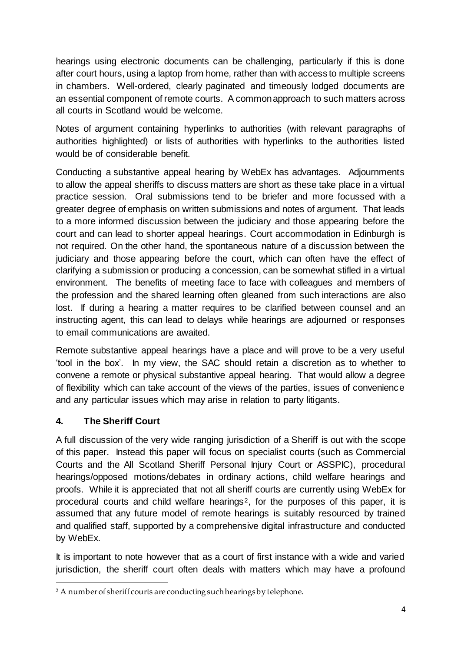hearings using electronic documents can be challenging, particularly if this is done after court hours, using a laptop from home, rather than with access to multiple screens in chambers. Well-ordered, clearly paginated and timeously lodged documents are an essential component of remote courts. A common approach to such matters across all courts in Scotland would be welcome.

Notes of argument containing hyperlinks to authorities (with relevant paragraphs of authorities highlighted) or lists of authorities with hyperlinks to the authorities listed would be of considerable benefit.

Conducting a substantive appeal hearing by WebEx has advantages. Adjournments to allow the appeal sheriffs to discuss matters are short as these take place in a virtual practice session. Oral submissions tend to be briefer and more focussed with a greater degree of emphasis on written submissions and notes of argument. That leads to a more informed discussion between the judiciary and those appearing before the court and can lead to shorter appeal hearings. Court accommodation in Edinburgh is not required. On the other hand, the spontaneous nature of a discussion between the judiciary and those appearing before the court, which can often have the effect of clarifying a submission or producing a concession, can be somewhat stifled in a virtual environment. The benefits of meeting face to face with colleagues and members of the profession and the shared learning often gleaned from such interactions are also lost. If during a hearing a matter requires to be clarified between counsel and an instructing agent, this can lead to delays while hearings are adjourned or responses to email communications are awaited.

Remote substantive appeal hearings have a place and will prove to be a very useful 'tool in the box'. In my view, the SAC should retain a discretion as to whether to convene a remote or physical substantive appeal hearing. That would allow a degree of flexibility which can take account of the views of the parties, issues of convenience and any particular issues which may arise in relation to party litigants.

# **4. The Sheriff Court**

A full discussion of the very wide ranging jurisdiction of a Sheriff is out with the scope of this paper. Instead this paper will focus on specialist courts (such as Commercial Courts and the All Scotland Sheriff Personal Injury Court or ASSPIC), procedural hearings/opposed motions/debates in ordinary actions, child welfare hearings and proofs. While it is appreciated that not all sheriff courts are currently using WebEx for procedural courts and child welfare hearings<sup>2</sup>, for the purposes of this paper, it is assumed that any future model of remote hearings is suitably resourced by trained and qualified staff, supported by a comprehensive digital infrastructure and conducted by WebEx.

It is important to note however that as a court of first instance with a wide and varied jurisdiction, the sheriff court often deals with matters which may have a profound

 $\overline{a}$ <sup>2</sup> A number of sheriff courts are conducting such hearings by telephone.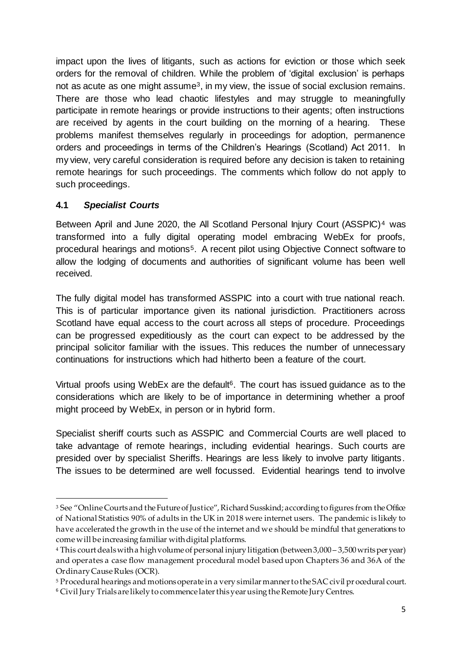impact upon the lives of litigants, such as actions for eviction or those which seek orders for the removal of children. While the problem of 'digital exclusion' is perhaps not as acute as one might assume<sup>3</sup>, in my view, the issue of social exclusion remains. There are those who lead chaotic lifestyles and may struggle to meaningfully participate in remote hearings or provide instructions to their agents; often instructions are received by agents in the court building on the morning of a hearing. These problems manifest themselves regularly in proceedings for adoption, permanence orders and proceedings in terms of the Children's Hearings (Scotland) Act 2011. In my view, very careful consideration is required before any decision is taken to retaining remote hearings for such proceedings. The comments which follow do not apply to such proceedings.

## **4.1** *Specialist Courts*

 $\overline{a}$ 

Between April and June 2020, the All Scotland Personal Injury Court (ASSPIC)<sup>4</sup> was transformed into a fully digital operating model embracing WebEx for proofs, procedural hearings and motions<sup>5</sup>. A recent pilot using Objective Connect software to allow the lodging of documents and authorities of significant volume has been well received.

The fully digital model has transformed ASSPIC into a court with true national reach. This is of particular importance given its national jurisdiction. Practitioners across Scotland have equal access to the court across all steps of procedure. Proceedings can be progressed expeditiously as the court can expect to be addressed by the principal solicitor familiar with the issues. This reduces the number of unnecessary continuations for instructions which had hitherto been a feature of the court.

Virtual proofs using WebEx are the default<sup>6</sup>. The court has issued guidance as to the considerations which are likely to be of importance in determining whether a proof might proceed by WebEx, in person or in hybrid form.

Specialist sheriff courts such as ASSPIC and Commercial Courts are well placed to take advantage of remote hearings, including evidential hearings. Such courts are presided over by specialist Sheriffs. Hearings are less likely to involve party litigants. The issues to be determined are well focussed. Evidential hearings tend to involve

<sup>&</sup>lt;sup>3</sup> See "Online Courts and the Future of Justice", Richard Susskind; according to figures from the Office of National Statistics 90% of adults in the UK in 2018 were internet users. The pandemic is likely to have accelerated the growth in the use of the internet and we should be mindful that generations to come will be increasing familiar with digital platforms.

<sup>4</sup> This court deals with a high volume of personal injury litigation (between 3,000 – 3,500 writs per year) and operates a case flow management procedural model based upon Chapters 36 and 36A of the Ordinary Cause Rules (OCR).

<sup>5</sup> Procedural hearings and motions operate in a very similar manner to the SAC civil pr ocedural court. <sup>6</sup> Civil Jury Trials are likely to commence later this year using the Remote Jury Centres.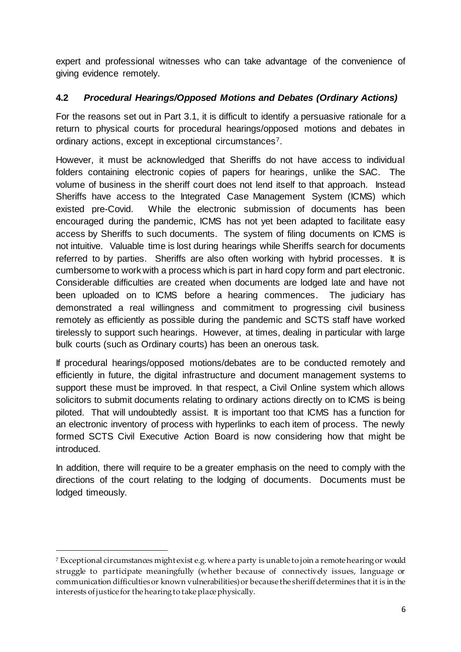expert and professional witnesses who can take advantage of the convenience of giving evidence remotely.

# **4.2** *Procedural Hearings/Opposed Motions and Debates (Ordinary Actions)*

For the reasons set out in Part 3.1, it is difficult to identify a persuasive rationale for a return to physical courts for procedural hearings/opposed motions and debates in ordinary actions, except in exceptional circumstances7.

However, it must be acknowledged that Sheriffs do not have access to individual folders containing electronic copies of papers for hearings, unlike the SAC. The volume of business in the sheriff court does not lend itself to that approach. Instead Sheriffs have access to the Integrated Case Management System (ICMS) which existed pre-Covid. While the electronic submission of documents has been encouraged during the pandemic, ICMS has not yet been adapted to facilitate easy access by Sheriffs to such documents. The system of filing documents on ICMS is not intuitive. Valuable time is lost during hearings while Sheriffs search for documents referred to by parties. Sheriffs are also often working with hybrid processes. It is cumbersome to work with a process which is part in hard copy form and part electronic. Considerable difficulties are created when documents are lodged late and have not been uploaded on to ICMS before a hearing commences. The judiciary has demonstrated a real willingness and commitment to progressing civil business remotely as efficiently as possible during the pandemic and SCTS staff have worked tirelessly to support such hearings. However, at times, dealing in particular with large bulk courts (such as Ordinary courts) has been an onerous task.

If procedural hearings/opposed motions/debates are to be conducted remotely and efficiently in future, the digital infrastructure and document management systems to support these must be improved. In that respect, a Civil Online system which allows solicitors to submit documents relating to ordinary actions directly on to ICMS is being piloted. That will undoubtedly assist. It is important too that ICMS has a function for an electronic inventory of process with hyperlinks to each item of process. The newly formed SCTS Civil Executive Action Board is now considering how that might be introduced.

In addition, there will require to be a greater emphasis on the need to comply with the directions of the court relating to the lodging of documents. Documents must be lodged timeously.

1

<sup>7</sup> Exceptional circumstances might exist e.g. where a party is unable to join a remote hearing or would struggle to participate meaningfully (whether because of connectively issues, language or communication difficulties or known vulnerabilities)or because the sheriff determines that it is in the interests of justice for the hearing to take place physically.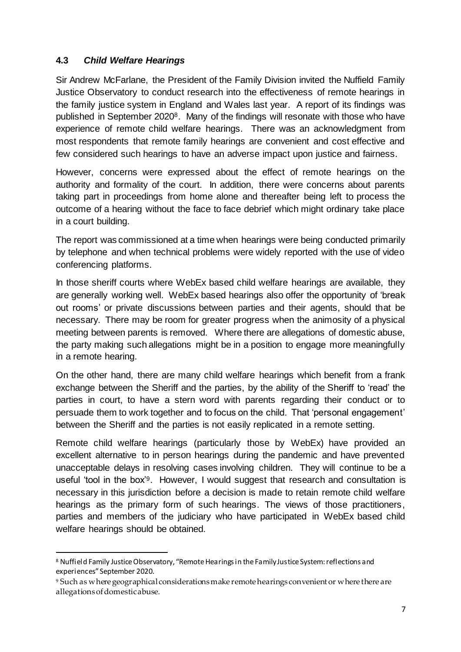## **4.3** *Child Welfare Hearings*

Sir Andrew McFarlane, the President of the Family Division invited the Nuffield Family Justice Observatory to conduct research into the effectiveness of remote hearings in the family justice system in England and Wales last year. A report of its findings was published in September 20208. Many of the findings will resonate with those who have experience of remote child welfare hearings. There was an acknowledgment from most respondents that remote family hearings are convenient and cost effective and few considered such hearings to have an adverse impact upon justice and fairness.

However, concerns were expressed about the effect of remote hearings on the authority and formality of the court. In addition, there were concerns about parents taking part in proceedings from home alone and thereafter being left to process the outcome of a hearing without the face to face debrief which might ordinary take place in a court building.

The report was commissioned at a time when hearings were being conducted primarily by telephone and when technical problems were widely reported with the use of video conferencing platforms.

In those sheriff courts where WebEx based child welfare hearings are available, they are generally working well. WebEx based hearings also offer the opportunity of 'break out rooms' or private discussions between parties and their agents, should that be necessary. There may be room for greater progress when the animosity of a physical meeting between parents is removed. Where there are allegations of domestic abuse, the party making such allegations might be in a position to engage more meaningfully in a remote hearing.

On the other hand, there are many child welfare hearings which benefit from a frank exchange between the Sheriff and the parties, by the ability of the Sheriff to 'read' the parties in court, to have a stern word with parents regarding their conduct or to persuade them to work together and to focus on the child. That 'personal engagement' between the Sheriff and the parties is not easily replicated in a remote setting.

Remote child welfare hearings (particularly those by WebEx) have provided an excellent alternative to in person hearings during the pandemic and have prevented unacceptable delays in resolving cases involving children. They will continue to be a useful 'tool in the box'9. However, I would suggest that research and consultation is necessary in this jurisdiction before a decision is made to retain remote child welfare hearings as the primary form of such hearings. The views of those practitioners, parties and members of the judiciary who have participated in WebEx based child welfare hearings should be obtained.

 $\overline{a}$ 

<sup>8</sup> Nuffield Family Justice Observatory, "Remote Hearings in the Family Justice System: reflections and experiences" September 2020.

<sup>9</sup> Such as where geographical considerations make remote hearings convenient or where there are allegations of domestic abuse.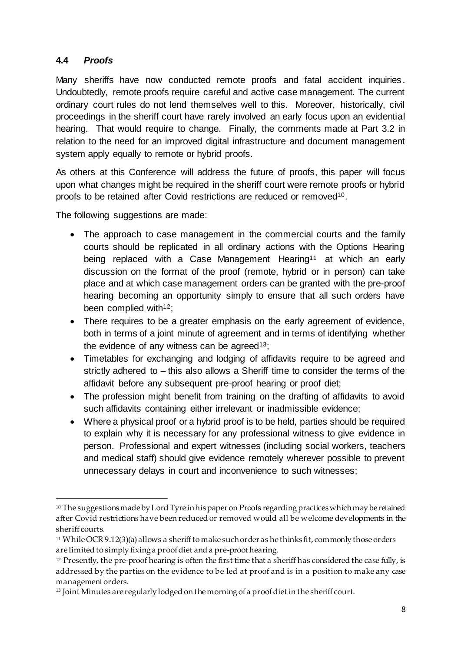## **4.4** *Proofs*

Many sheriffs have now conducted remote proofs and fatal accident inquiries . Undoubtedly, remote proofs require careful and active case management. The current ordinary court rules do not lend themselves well to this. Moreover, historically, civil proceedings in the sheriff court have rarely involved an early focus upon an evidential hearing. That would require to change. Finally, the comments made at Part 3.2 in relation to the need for an improved digital infrastructure and document management system apply equally to remote or hybrid proofs.

As others at this Conference will address the future of proofs, this paper will focus upon what changes might be required in the sheriff court were remote proofs or hybrid proofs to be retained after Covid restrictions are reduced or removed<sup>10</sup>.

The following suggestions are made:

- The approach to case management in the commercial courts and the family courts should be replicated in all ordinary actions with the Options Hearing being replaced with a Case Management Hearing<sup>11</sup> at which an early discussion on the format of the proof (remote, hybrid or in person) can take place and at which case management orders can be granted with the pre-proof hearing becoming an opportunity simply to ensure that all such orders have been complied with<sup>12</sup>;
- There requires to be a greater emphasis on the early agreement of evidence, both in terms of a joint minute of agreement and in terms of identifying whether the evidence of any witness can be agreed<sup>13</sup>;
- Timetables for exchanging and lodging of affidavits require to be agreed and strictly adhered to – this also allows a Sheriff time to consider the terms of the affidavit before any subsequent pre-proof hearing or proof diet;
- The profession might benefit from training on the drafting of affidavits to avoid such affidavits containing either irrelevant or inadmissible evidence;
- Where a physical proof or a hybrid proof is to be held, parties should be required to explain why it is necessary for any professional witness to give evidence in person. Professional and expert witnesses (including social workers, teachers and medical staff) should give evidence remotely wherever possible to prevent unnecessary delays in court and inconvenience to such witnesses;

 $\overline{a}$ <sup>10</sup> The suggestions made by Lord Tyre in his paper on Proofs regarding practices which may be retained after Covid restrictions have been reduced or removed would all be welcome developments in the sheriff courts.

<sup>11</sup> While OCR 9.12(3)(a) allows a sheriffto make such order as he thinks fit, commonly those orders are limited to simply fixing a proof diet and a pre-proof hearing.

<sup>&</sup>lt;sup>12</sup> Presently, the pre-proof hearing is often the first time that a sheriff has considered the case fully, is addressed by the parties on the evidence to be led at proof and is in a position to make any case management orders.

<sup>&</sup>lt;sup>13</sup> Joint Minutes are regularly lodged on the morning of a proof diet in the sheriff court.